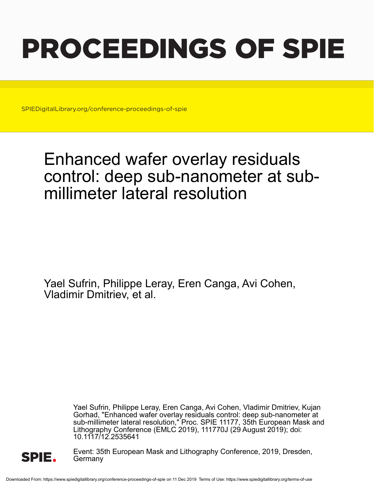# PROCEEDINGS OF SPIE

SPIEDigitalLibrary.org/conference-proceedings-of-spie

## Enhanced wafer overlay residuals control: deep sub-nanometer at submillimeter lateral resolution

Yael Sufrin, Philippe Leray, Eren Canga, Avi Cohen, Vladimir Dmitriev, et al.

> Yael Sufrin, Philippe Leray, Eren Canga, Avi Cohen, Vladimir Dmitriev, Kujan Gorhad, "Enhanced wafer overlay residuals control: deep sub-nanometer at sub-millimeter lateral resolution," Proc. SPIE 11177, 35th European Mask and Lithography Conference (EMLC 2019), 111770J (29 August 2019); doi: 10.1117/12.2535641



Event: 35th European Mask and Lithography Conference, 2019, Dresden, Germany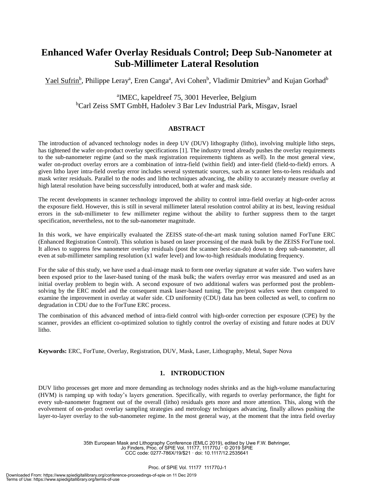### **Enhanced Wafer Overlay Residuals Control; Deep Sub-Nanometer at Sub-Millimeter Lateral Resolution**

Yael Sufrin<sup>b</sup>, Philippe Leray<sup>a</sup>, Eren Canga<sup>a</sup>, Avi Cohen<sup>b</sup>, Vladimir Dmitriev<sup>b</sup> and Kujan Gorhad<sup>b</sup>

a IMEC, kapeldreef 75, 3001 Heverlee, Belgium <sup>b</sup>Carl Zeiss SMT GmbH, Hadolev 3 Bar Lev Industrial Park, Misgav, Israel

#### **ABSTRACT**

The introduction of advanced technology nodes in deep UV (DUV) lithography (litho), involving multiple litho steps, has tightened the wafer on-product overlay specifications [1]. The industry trend already pushes the overlay requirements to the sub-nanometer regime (and so the mask registration requirements tightens as well). In the most general view, wafer on-product overlay errors are a combination of intra-field (within field) and inter-field (field-to-field) errors. A given litho layer intra-field overlay error includes several systematic sources, such as scanner lens-to-lens residuals and mask writer residuals. Parallel to the nodes and litho techniques advancing, the ability to accurately measure overlay at high lateral resolution have being successfully introduced, both at wafer and mask side.

The recent developments in scanner technology improved the ability to control intra-field overlay at high-order across the exposure field. However, this is still in several millimeter lateral resolution control ability at its best, leaving residual errors in the sub-millimeter to few millimeter regime without the ability to further suppress them to the target specification, nevertheless, not to the sub-nanometer magnitude.

In this work, we have empirically evaluated the ZEISS state-of-the-art mask tuning solution named ForTune ERC (Enhanced Registration Control). This solution is based on laser processing of the mask bulk by the ZEISS ForTune tool. It allows to suppress few nanometer overlay residuals (post the scanner best-can-do) down to deep sub-nanometer, all even at sub-millimeter sampling resolution (x1 wafer level) and low-to-high residuals modulating frequency.

For the sake of this study, we have used a dual-image mask to form one overlay signature at wafer side. Two wafers have been exposed prior to the laser-based tuning of the mask bulk; the wafers overlay error was measured and used as an initial overlay problem to begin with. A second exposure of two additional wafers was performed post the problemsolving by the ERC model and the consequent mask laser-based tuning. The pre/post wafers were then compared to examine the improvement in overlay at wafer side. CD uniformity (CDU) data has been collected as well, to confirm no degradation in CDU due to the ForTune ERC process.

The combination of this advanced method of intra-field control with high-order correction per exposure (CPE) by the scanner, provides an efficient co-optimized solution to tightly control the overlay of existing and future nodes at DUV litho.

**Keywords:** ERC, ForTune, Overlay, Registration, DUV, Mask, Laser, Lithography, Metal, Super Nova

#### **1. INTRODUCTION**

DUV litho processes get more and more demanding as technology nodes shrinks and as the high-volume manufacturing (HVM) is ramping up with today's layers generation. Specifically, with regards to overlay performance, the fight for every sub-nanometer fragment out of the overall (litho) residuals gets more and more attention. This, along with the evolvement of on-product overlay sampling strategies and metrology techniques advancing, finally allows pushing the layer-to-layer overlay to the sub-nanometer regime. In the most general way, at the moment that the intra field overlay

> 35th European Mask and Lithography Conference (EMLC 2019), edited by Uwe F.W. Behringer, Jo Finders, Proc. of SPIE Vol. 11177, 111770J · © 2019 SPIE CCC code: 0277-786X/19/\$21 · doi: 10.1117/12.2535641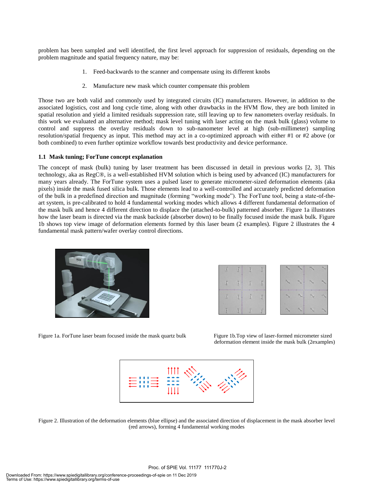problem has been sampled and well identified, the first level approach for suppression of residuals, depending on the problem magnitude and spatial frequency nature, may be:

- 1. Feed-backwards to the scanner and compensate using its different knobs
- 2. Manufacture new mask which counter compensate this problem

Those two are both valid and commonly used by integrated circuits (IC) manufacturers. However, in addition to the associated logistics, cost and long cycle time, along with other drawbacks in the HVM flow, they are both limited in spatial resolution and yield a limited residuals suppression rate, still leaving up to few nanometers overlay residuals. In this work we evaluated an alternative method; mask level tuning with laser acting on the mask bulk (glass) volume to control and suppress the overlay residuals down to sub-nanometer level at high (sub-millimeter) sampling resolution/spatial frequency as input. This method may act in a co-optimized approach with either #1 or #2 above (or both combined) to even further optimize workflow towards best productivity and device performance.

#### **1.1 Mask tuning; ForTune concept explanation**

The concept of mask (bulk) tuning by laser treatment has been discussed in detail in previous works [2, 3]. This technology, aka as RegC®, is a well-established HVM solution which is being used by advanced (IC) manufacturers for many years already. The ForTune system uses a pulsed laser to generate micrometer-sized deformation elements (aka pixels) inside the mask fused silica bulk. Those elements lead to a well-controlled and accurately predicted deformation of the bulk in a predefined direction and magnitude (forming "working mode"). The ForTune tool, being a state-of-theart system, is pre-calibrated to hold 4 fundamental working modes which allows 4 different fundamental deformation of the mask bulk and hence 4 different direction to displace the (attached-to-bulk) patterned absorber. Figure 1a illustrates how the laser beam is directed via the mask backside (absorber down) to be finally focused inside the mask bulk. Figure 1b shows top view image of deformation elements formed by this laser beam (2 examples). Figure 2 illustrates the 4 fundamental mask pattern/wafer overlay control directions.





Figure 1a. ForTune laser beam focused inside the mask quartz bulk Figure 1b.Top view of laser-formed micrometer sized

deformation element inside the mask bulk (2examples)



Figure 2. Illustration of the deformation elements (blue ellipse) and the associated direction of displacement in the mask absorber level (red arrows), forming 4 fundamental working modes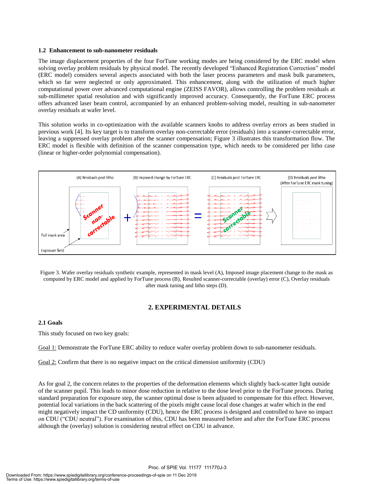#### **1.2 Enhancement to sub-nanometer residuals**

The image displacement properties of the four ForTune working modes are being considered by the ERC model when solving overlay problem residuals by physical model. The recently developed "Enhanced Registration Correction" model (ERC model) considers several aspects associated with both the laser process parameters and mask bulk parameters, which so far were neglected or only approximated. This enhancement, along with the utilization of much higher computational power over advanced computational engine (ZEISS FAVOR), allows controlling the problem residuals at sub-millimeter spatial resolution and with significantly improved accuracy. Consequently, the ForTune ERC process offers advanced laser beam control, accompanied by an enhanced problem-solving model, resulting in sub-nanometer overlay residuals at wafer level.

This solution works in co-optimization with the available scanners knobs to address overlay errors as been studied in previous work [4]. Its key target is to transform overlay non-correctable error (residuals) into a scanner-correctable error, leaving a suppressed overlay problem after the scanner compensation; Figure 3 illustrates this transformation flow. The ERC model is flexible with definition of the scanner compensation type, which needs to be considered per litho case (linear or higher-order polynomial compensation).



Figure 3. Wafer overlay residuals synthetic example, represented in mask level (A), Imposed image placement change to the mask as computed by ERC model and applied by ForTune process (B), Resulted scanner-correctable (overlay) error (C), Overlay residuals after mask tuning and litho steps (D).

#### **2. EXPERIMENTAL DETAILS**

#### **2.1 Goals**

This study focused on two key goals:

Goal 1: Demonstrate the ForTune ERC ability to reduce wafer overlay problem down to sub-nanometer residuals.

Goal 2: Confirm that there is no negative impact on the critical dimension uniformity (CDU)

As for goal 2, the concern relates to the properties of the deformation elements which slightly back-scatter light outside of the scanner pupil. This leads to minor dose reduction in relative to the dose level prior to the ForTune process. During standard preparation for exposure step, the scanner optimal dose is been adjusted to compensate for this effect. However, potential local variations in the back scattering of the pixels might cause local dose changes at wafer which in the end might negatively impact the CD uniformity (CDU), hence the ERC process is designed and controlled to have no impact on CDU ("CDU neutral"). For examination of this, CDU has been measured before and after the ForTune ERC process although the (overlay) solution is considering neutral effect on CDU in advance.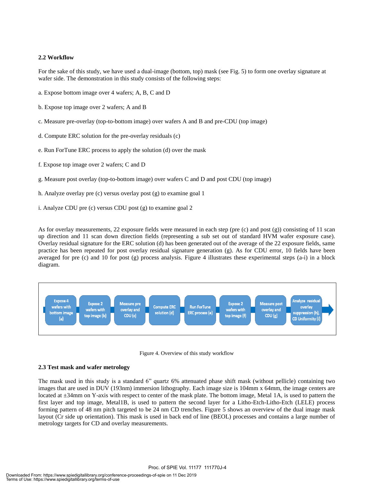#### **2.2 Workflow**

For the sake of this study, we have used a dual-image (bottom, top) mask (see Fig. 5) to form one overlay signature at wafer side. The demonstration in this study consists of the following steps:

- a. Expose bottom image over 4 wafers; A, B, C and D
- b. Expose top image over 2 wafers; A and B
- c. Measure pre-overlay (top-to-bottom image) over wafers A and B and pre-CDU (top image)
- d. Compute ERC solution for the pre-overlay residuals (c)
- e. Run ForTune ERC process to apply the solution (d) over the mask
- f. Expose top image over 2 wafers; C and D
- g. Measure post overlay (top-to-bottom image) over wafers C and D and post CDU (top image)
- h. Analyze overlay pre (c) versus overlay post (g) to examine goal 1
- i. Analyze CDU pre (c) versus CDU post (g) to examine goal 2

As for overlay measurements, 22 exposure fields were measured in each step (pre (c) and post (g)) consisting of 11 scan up direction and 11 scan down direction fields (representing a sub set out of standard HVM wafer exposure case). Overlay residual signature for the ERC solution (d) has been generated out of the average of the 22 exposure fields, same practice has been repeated for post overlay residual signature generation (g). As for CDU error, 10 fields have been averaged for pre (c) and 10 for post (g) process analysis. Figure 4 illustrates these experimental steps (a-i) in a block diagram.



Figure 4. Overview of this study workflow

#### **2.3 Test mask and wafer metrology**

The mask used in this study is a standard 6" quartz 6% attenuated phase shift mask (without pellicle) containing two images that are used in DUV (193nm) immersion lithography. Each image size is 104mm x 64mm, the image centers are located at  $\pm 34$ mm on Y-axis with respect to center of the mask plate. The bottom image, Metal 1A, is used to pattern the first layer and top image, Metal1B, is used to pattern the second layer for a Litho-Etch-Litho-Etch (LELE) process forming pattern of 48 nm pitch targeted to be 24 nm CD trenches. Figure 5 shows an overview of the dual image mask layout (Cr side up orientation). This mask is used in back end of line (BEOL) processes and contains a large number of metrology targets for CD and overlay measurements.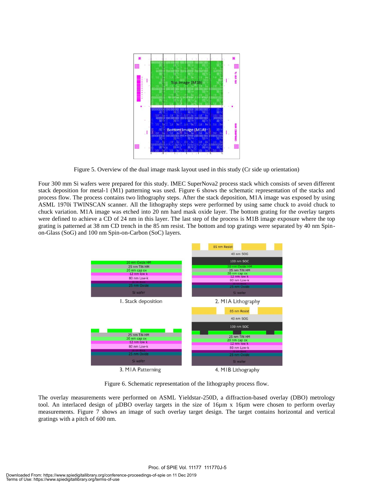

Figure 5. Overview of the dual image mask layout used in this study (Cr side up orientation)

Four 300 mm Si wafers were prepared for this study. IMEC SuperNova2 process stack which consists of seven different stack deposition for metal-1 (M1) patterning was used. Figure 6 shows the schematic representation of the stacks and process flow. The process contains two lithography steps. After the stack deposition, M1A image was exposed by using ASML 1970i TWINSCAN scanner. All the lithography steps were performed by using same chuck to avoid chuck to chuck variation. M1A image was etched into 20 nm hard mask oxide layer. The bottom grating for the overlay targets were defined to achieve a CD of 24 nm in this layer. The last step of the process is M1B image exposure where the top grating is patterned at 38 nm CD trench in the 85 nm resist. The bottom and top gratings were separated by 40 nm Spinon-Glass (SoG) and 100 nm Spin-on-Carbon (SoC) layers.



Figure 6. Schematic representation of the lithography process flow.

The overlay measurements were performed on ASML Yieldstar-250D, a diffraction-based overlay (DBO) metrology tool. An interlaced design of µDBO overlay targets in the size of 16µm x 16µm were chosen to perform overlay measurements. Figure 7 shows an image of such overlay target design. The target contains horizontal and vertical gratings with a pitch of 600 nm.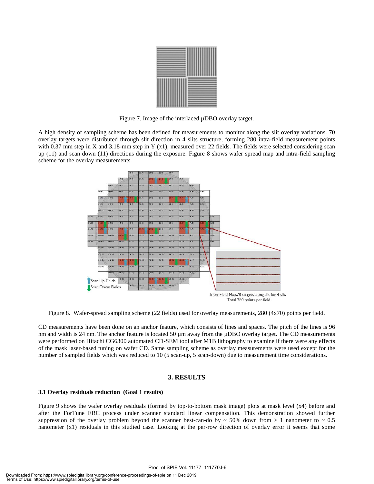

Figure 7. Image of the interlaced µDBO overlay target.

A high density of sampling scheme has been defined for measurements to monitor along the slit overlay variations. 70 overlay targets were distributed through slit direction in 4 slits structure, forming 280 intra-field measurement points with 0.37 mm step in X and 3.18-mm step in Y (x1), measured over 22 fields. The fields were selected considering scan up (11) and scan down (11) directions during the exposure. Figure 8 shows wafer spread map and intra-field sampling scheme for the overlay measurements.



Figure 8. Wafer-spread sampling scheme (22 fields) used for overlay measurements, 280 (4x70) points per field.

CD measurements have been done on an anchor feature, which consists of lines and spaces. The pitch of the lines is 96 nm and width is 24 nm. The anchor feature is located 50  $\mu$ m away from the  $\mu$ DBO overlay target. The CD measurements were performed on Hitachi CG6300 automated CD-SEM tool after M1B lithography to examine if there were any effects of the mask laser-based tuning on wafer CD. Same sampling scheme as overlay measurements were used except for the number of sampled fields which was reduced to 10 (5 scan-up, 5 scan-down) due to measurement time considerations.

#### **3. RESULTS**

#### **3.1 Overlay residuals reduction (Goal 1 results)**

Figure 9 shows the wafer overlay residuals (formed by top-to-bottom mask image) plots at mask level (x4) before and after the ForTune ERC process under scanner standard linear compensation. This demonstration showed further suppression of the overlay problem beyond the scanner best-can-do by  $\sim 50\%$  down from  $> 1$  nanometer to  $\sim 0.5$ nanometer (x1) residuals in this studied case. Looking at the per-row direction of overlay error it seems that some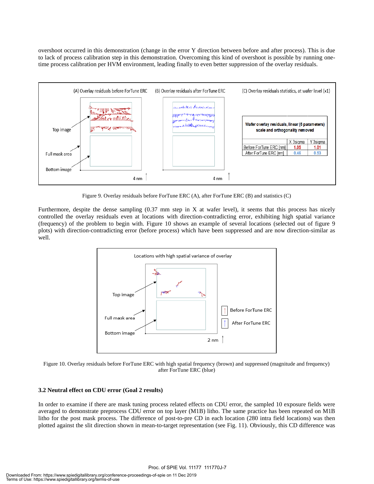overshoot occurred in this demonstration (change in the error Y direction between before and after process). This is due to lack of process calibration step in this demonstration. Overcoming this kind of overshoot is possible by running onetime process calibration per HVM environment, leading finally to even better suppression of the overlay residuals.



Figure 9. Overlay residuals before ForTune ERC (A), after ForTune ERC (B) and statistics (C)

Furthermore, despite the dense sampling (0.37 mm step in X at wafer level), it seems that this process has nicely controlled the overlay residuals even at locations with direction-contradicting error, exhibiting high spatial variance (frequency) of the problem to begin with. Figure 10 shows an example of several locations (selected out of figure 9 plots) with direction-contradicting error (before process) which have been suppressed and are now direction-similar as well.



Figure 10. Overlay residuals before ForTune ERC with high spatial frequency (brown) and suppressed (magnitude and frequency) after ForTune ERC (blue)

#### **3.2 Neutral effect on CDU error (Goal 2 results)**

In order to examine if there are mask tuning process related effects on CDU error, the sampled 10 exposure fields were averaged to demonstrate preprocess CDU error on top layer (M1B) litho. The same practice has been repeated on M1B litho for the post mask process. The difference of post-to-pre CD in each location (280 intra field locations) was then plotted against the slit direction shown in mean-to-target representation (see Fig. 11). Obviously, this CD difference was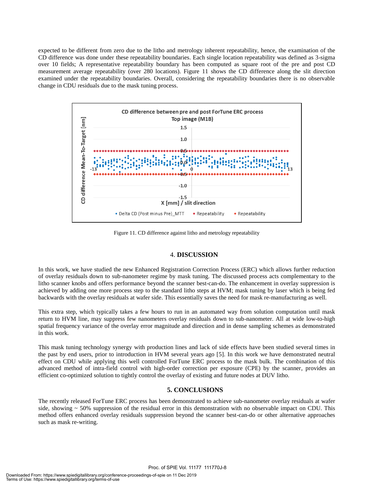expected to be different from zero due to the litho and metrology inherent repeatability, hence, the examination of the CD difference was done under these repeatability boundaries. Each single location repeatability was defined as 3-sigma over 10 fields; A representative repeatability boundary has been computed as square root of the pre and post CD measurement average repeatability (over 280 locations). Figure 11 shows the CD difference along the slit direction examined under the repeatability boundaries. Overall, considering the repeatability boundaries there is no observable change in CDU residuals due to the mask tuning process.



Figure 11. CD difference against litho and metrology repeatability

#### 4. **DISCUSSION**

In this work, we have studied the new Enhanced Registration Correction Process (ERC) which allows further reduction of overlay residuals down to sub-nanometer regime by mask tuning. The discussed process acts complementary to the litho scanner knobs and offers performance beyond the scanner best-can-do. The enhancement in overlay suppression is achieved by adding one more process step to the standard litho steps at HVM; mask tuning by laser which is being fed backwards with the overlay residuals at wafer side. This essentially saves the need for mask re-manufacturing as well.

This extra step, which typically takes a few hours to run in an automated way from solution computation until mask return to HVM line, may suppress few nanometers overlay residuals down to sub-nanometer. All at wide low-to-high spatial frequency variance of the overlay error magnitude and direction and in dense sampling schemes as demonstrated in this work.

This mask tuning technology synergy with production lines and lack of side effects have been studied several times in the past by end users, prior to introduction in HVM several years ago [5]. In this work we have demonstrated neutral effect on CDU while applying this well controlled ForTune ERC process to the mask bulk. The combination of this advanced method of intra-field control with high-order correction per exposure (CPE) by the scanner, provides an efficient co-optimized solution to tightly control the overlay of existing and future nodes at DUV litho.

#### **5. CONCLUSIONS**

The recently released ForTune ERC process has been demonstrated to achieve sub-nanometer overlay residuals at wafer side, showing  $\sim$  50% suppression of the residual error in this demonstration with no observable impact on CDU. This method offers enhanced overlay residuals suppression beyond the scanner best-can-do or other alternative approaches such as mask re-writing.